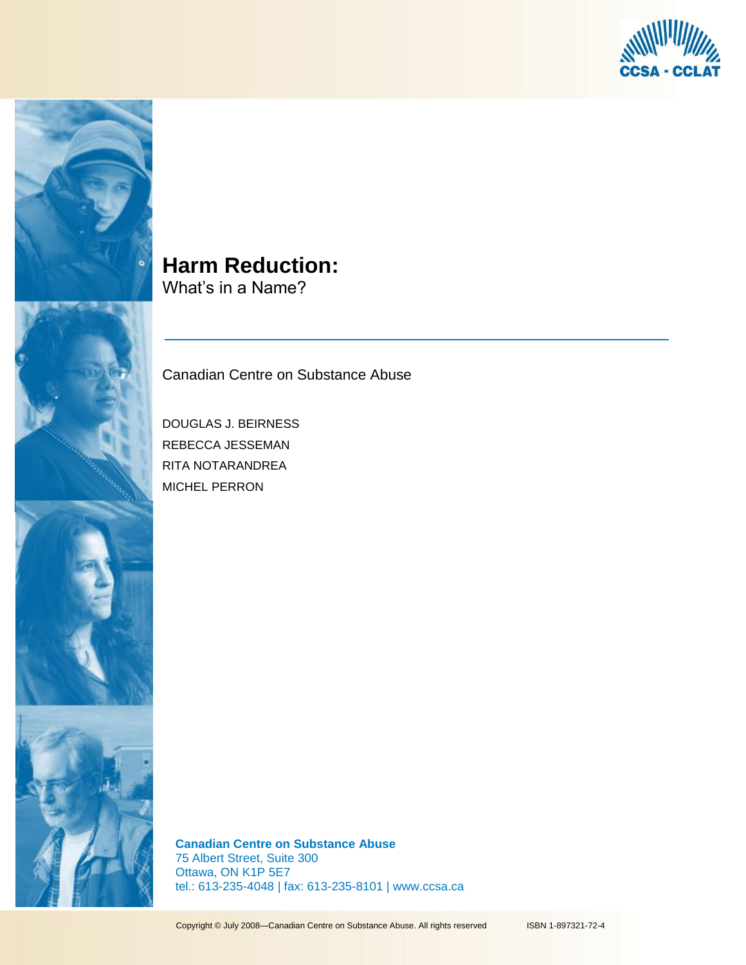



# **Harm Reduction:**

What's in a Name?

Canadian Centre on Substance Abuse

DOUGLAS J. BEIRNESS REBECCA JESSEMAN RITA NOTARANDREA MICHEL PERRON

**Canadian Centre on Substance Abuse** 75 Albert Street, Suite 300 Ottawa, ON K1P 5E7 tel.: 613-235-4048 | fax: 613-235-8101 | www.ccsa.ca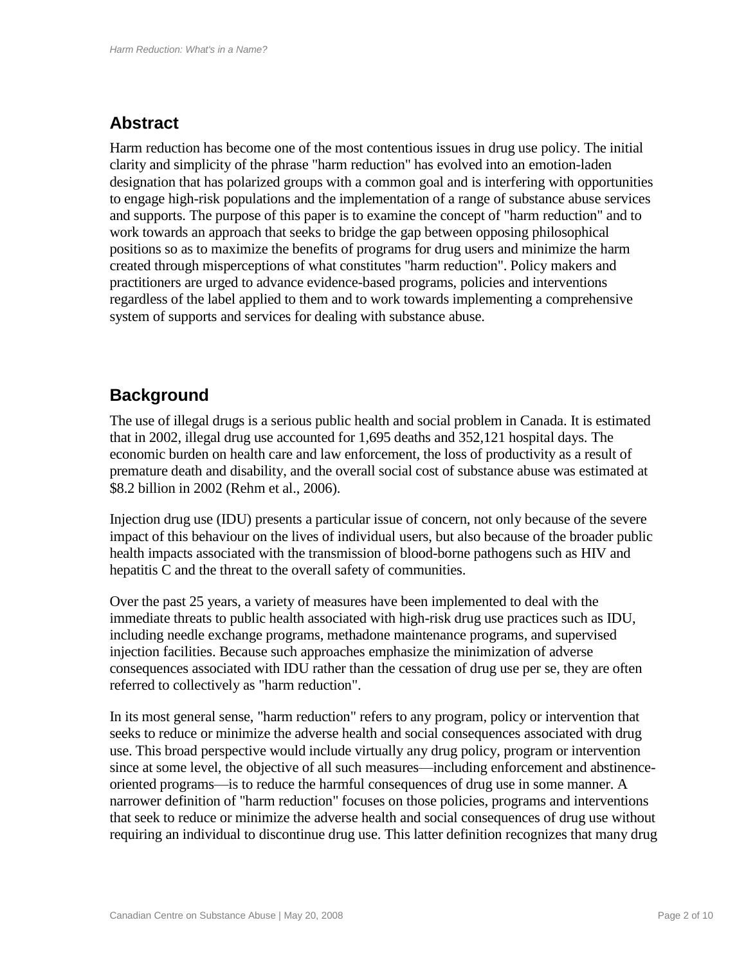# **Abstract**

Harm reduction has become one of the most contentious issues in drug use policy. The initial clarity and simplicity of the phrase "harm reduction" has evolved into an emotion-laden designation that has polarized groups with a common goal and is interfering with opportunities to engage high-risk populations and the implementation of a range of substance abuse services and supports. The purpose of this paper is to examine the concept of "harm reduction" and to work towards an approach that seeks to bridge the gap between opposing philosophical positions so as to maximize the benefits of programs for drug users and minimize the harm created through misperceptions of what constitutes "harm reduction". Policy makers and practitioners are urged to advance evidence-based programs, policies and interventions regardless of the label applied to them and to work towards implementing a comprehensive system of supports and services for dealing with substance abuse.

### **Background**

The use of illegal drugs is a serious public health and social problem in Canada. It is estimated that in 2002, illegal drug use accounted for 1,695 deaths and 352,121 hospital days. The economic burden on health care and law enforcement, the loss of productivity as a result of premature death and disability, and the overall social cost of substance abuse was estimated at \$8.2 billion in 2002 (Rehm et al., 2006).

Injection drug use (IDU) presents a particular issue of concern, not only because of the severe impact of this behaviour on the lives of individual users, but also because of the broader public health impacts associated with the transmission of blood-borne pathogens such as HIV and hepatitis C and the threat to the overall safety of communities.

Over the past 25 years, a variety of measures have been implemented to deal with the immediate threats to public health associated with high-risk drug use practices such as IDU, including needle exchange programs, methadone maintenance programs, and supervised injection facilities. Because such approaches emphasize the minimization of adverse consequences associated with IDU rather than the cessation of drug use per se, they are often referred to collectively as "harm reduction".

In its most general sense, "harm reduction" refers to any program, policy or intervention that seeks to reduce or minimize the adverse health and social consequences associated with drug use. This broad perspective would include virtually any drug policy, program or intervention since at some level, the objective of all such measures—including enforcement and abstinenceoriented programs—is to reduce the harmful consequences of drug use in some manner. A narrower definition of "harm reduction" focuses on those policies, programs and interventions that seek to reduce or minimize the adverse health and social consequences of drug use without requiring an individual to discontinue drug use. This latter definition recognizes that many drug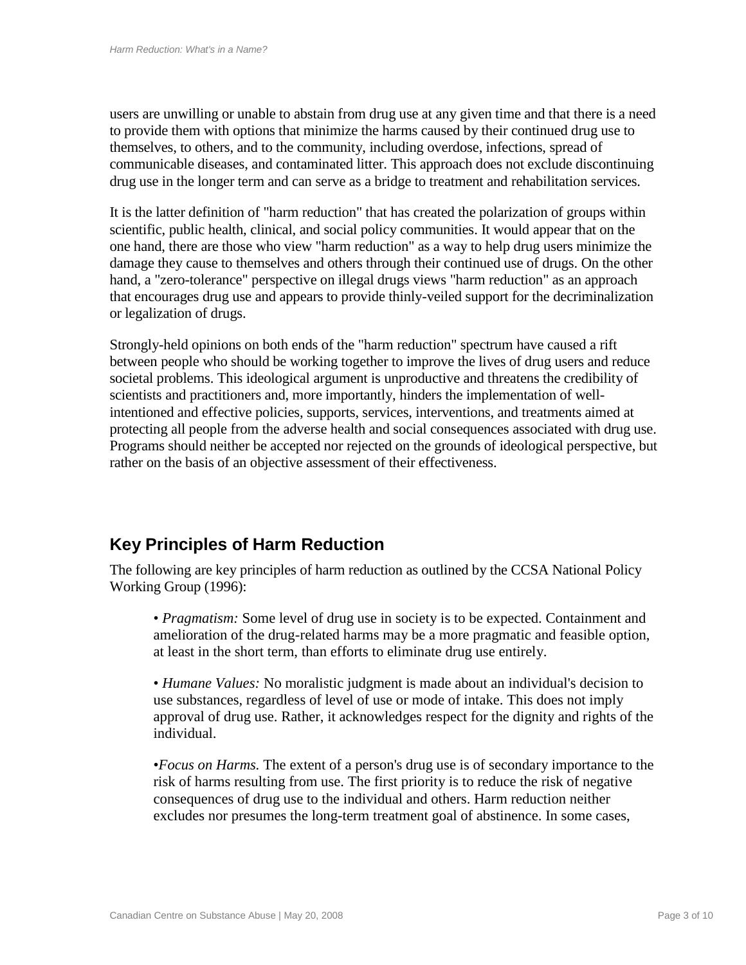users are unwilling or unable to abstain from drug use at any given time and that there is a need to provide them with options that minimize the harms caused by their continued drug use to themselves, to others, and to the community, including overdose, infections, spread of communicable diseases, and contaminated litter. This approach does not exclude discontinuing drug use in the longer term and can serve as a bridge to treatment and rehabilitation services.

It is the latter definition of "harm reduction" that has created the polarization of groups within scientific, public health, clinical, and social policy communities. It would appear that on the one hand, there are those who view "harm reduction" as a way to help drug users minimize the damage they cause to themselves and others through their continued use of drugs. On the other hand, a "zero-tolerance" perspective on illegal drugs views "harm reduction" as an approach that encourages drug use and appears to provide thinly-veiled support for the decriminalization or legalization of drugs.

Strongly-held opinions on both ends of the "harm reduction" spectrum have caused a rift between people who should be working together to improve the lives of drug users and reduce societal problems. This ideological argument is unproductive and threatens the credibility of scientists and practitioners and, more importantly, hinders the implementation of wellintentioned and effective policies, supports, services, interventions, and treatments aimed at protecting all people from the adverse health and social consequences associated with drug use. Programs should neither be accepted nor rejected on the grounds of ideological perspective, but rather on the basis of an objective assessment of their effectiveness.

# **Key Principles of Harm Reduction**

The following are key principles of harm reduction as outlined by the CCSA National Policy Working Group (1996):

• *Pragmatism:* Some level of drug use in society is to be expected. Containment and amelioration of the drug-related harms may be a more pragmatic and feasible option, at least in the short term, than efforts to eliminate drug use entirely.

• *Humane Values:* No moralistic judgment is made about an individual's decision to use substances, regardless of level of use or mode of intake. This does not imply approval of drug use. Rather, it acknowledges respect for the dignity and rights of the individual.

•*Focus on Harms.* The extent of a person's drug use is of secondary importance to the risk of harms resulting from use. The first priority is to reduce the risk of negative consequences of drug use to the individual and others. Harm reduction neither excludes nor presumes the long-term treatment goal of abstinence. In some cases,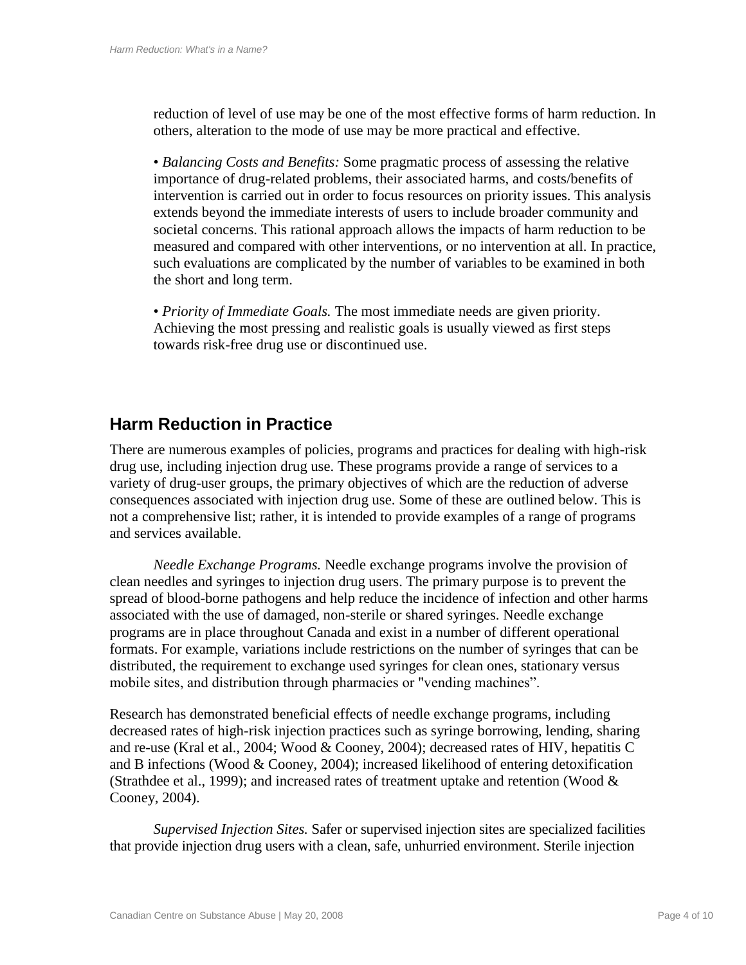reduction of level of use may be one of the most effective forms of harm reduction. In others, alteration to the mode of use may be more practical and effective.

• *Balancing Costs and Benefits:* Some pragmatic process of assessing the relative importance of drug-related problems, their associated harms, and costs/benefits of intervention is carried out in order to focus resources on priority issues. This analysis extends beyond the immediate interests of users to include broader community and societal concerns. This rational approach allows the impacts of harm reduction to be measured and compared with other interventions, or no intervention at all. In practice, such evaluations are complicated by the number of variables to be examined in both the short and long term.

• *Priority of Immediate Goals.* The most immediate needs are given priority. Achieving the most pressing and realistic goals is usually viewed as first steps towards risk-free drug use or discontinued use.

#### **Harm Reduction in Practice**

There are numerous examples of policies, programs and practices for dealing with high-risk drug use, including injection drug use. These programs provide a range of services to a variety of drug-user groups, the primary objectives of which are the reduction of adverse consequences associated with injection drug use. Some of these are outlined below. This is not a comprehensive list; rather, it is intended to provide examples of a range of programs and services available.

*Needle Exchange Programs.* Needle exchange programs involve the provision of clean needles and syringes to injection drug users. The primary purpose is to prevent the spread of blood-borne pathogens and help reduce the incidence of infection and other harms associated with the use of damaged, non-sterile or shared syringes. Needle exchange programs are in place throughout Canada and exist in a number of different operational formats. For example, variations include restrictions on the number of syringes that can be distributed, the requirement to exchange used syringes for clean ones, stationary versus mobile sites, and distribution through pharmacies or "vending machines".

Research has demonstrated beneficial effects of needle exchange programs, including decreased rates of high-risk injection practices such as syringe borrowing, lending, sharing and re-use (Kral et al., 2004; Wood & Cooney, 2004); decreased rates of HIV, hepatitis C and B infections (Wood & Cooney, 2004); increased likelihood of entering detoxification (Strathdee et al., 1999); and increased rates of treatment uptake and retention (Wood  $\&$ Cooney, 2004).

*Supervised Injection Sites.* Safer or supervised injection sites are specialized facilities that provide injection drug users with a clean, safe, unhurried environment. Sterile injection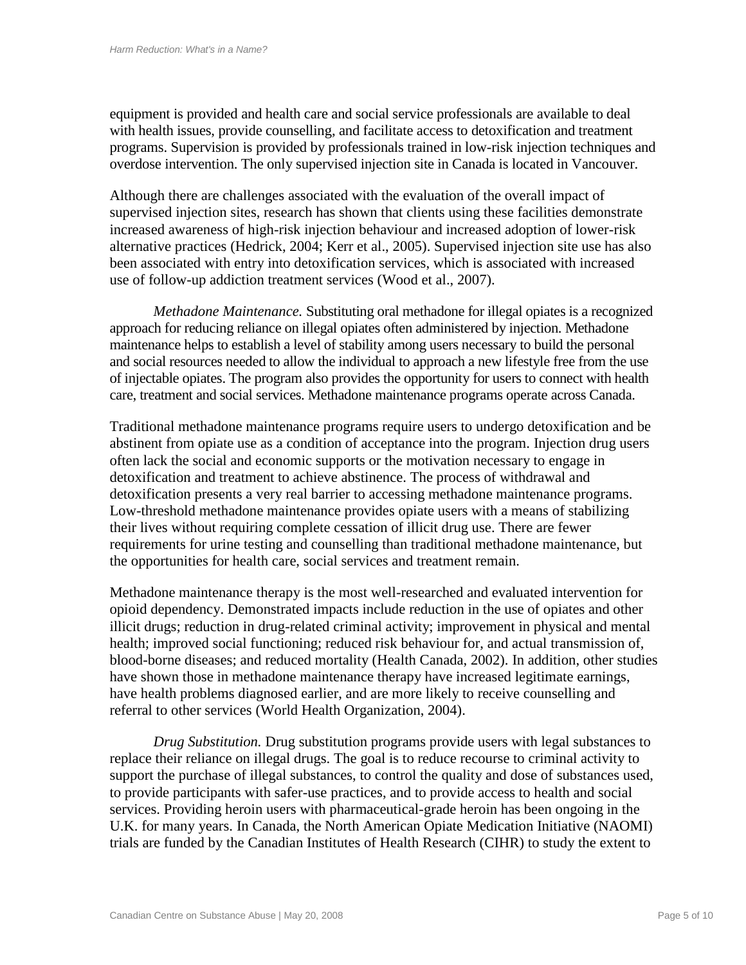equipment is provided and health care and social service professionals are available to deal with health issues, provide counselling, and facilitate access to detoxification and treatment programs. Supervision is provided by professionals trained in low-risk injection techniques and overdose intervention. The only supervised injection site in Canada is located in Vancouver.

Although there are challenges associated with the evaluation of the overall impact of supervised injection sites, research has shown that clients using these facilities demonstrate increased awareness of high-risk injection behaviour and increased adoption of lower-risk alternative practices (Hedrick, 2004; Kerr et al., 2005). Supervised injection site use has also been associated with entry into detoxification services, which is associated with increased use of follow-up addiction treatment services (Wood et al., 2007).

*Methadone Maintenance.* Substituting oral methadone for illegal opiates is a recognized approach for reducing reliance on illegal opiates often administered by injection. Methadone maintenance helps to establish a level of stability among users necessary to build the personal and social resources needed to allow the individual to approach a new lifestyle free from the use of injectable opiates. The program also provides the opportunity for users to connect with health care, treatment and social services. Methadone maintenance programs operate across Canada.

Traditional methadone maintenance programs require users to undergo detoxification and be abstinent from opiate use as a condition of acceptance into the program. Injection drug users often lack the social and economic supports or the motivation necessary to engage in detoxification and treatment to achieve abstinence. The process of withdrawal and detoxification presents a very real barrier to accessing methadone maintenance programs. Low-threshold methadone maintenance provides opiate users with a means of stabilizing their lives without requiring complete cessation of illicit drug use. There are fewer requirements for urine testing and counselling than traditional methadone maintenance, but the opportunities for health care, social services and treatment remain.

Methadone maintenance therapy is the most well-researched and evaluated intervention for opioid dependency. Demonstrated impacts include reduction in the use of opiates and other illicit drugs; reduction in drug-related criminal activity; improvement in physical and mental health; improved social functioning; reduced risk behaviour for, and actual transmission of, blood-borne diseases; and reduced mortality (Health Canada, 2002). In addition, other studies have shown those in methadone maintenance therapy have increased legitimate earnings, have health problems diagnosed earlier, and are more likely to receive counselling and referral to other services (World Health Organization, 2004).

*Drug Substitution.* Drug substitution programs provide users with legal substances to replace their reliance on illegal drugs. The goal is to reduce recourse to criminal activity to support the purchase of illegal substances, to control the quality and dose of substances used, to provide participants with safer-use practices, and to provide access to health and social services. Providing heroin users with pharmaceutical-grade heroin has been ongoing in the U.K. for many years. In Canada, the North American Opiate Medication Initiative (NAOMI) trials are funded by the Canadian Institutes of Health Research (CIHR) to study the extent to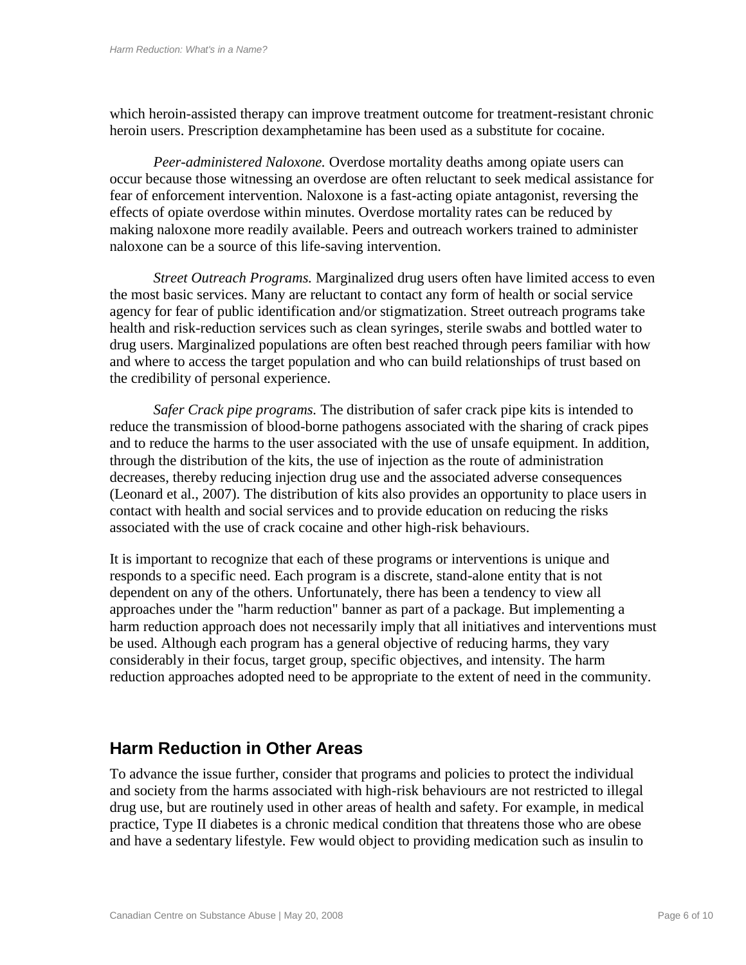which heroin-assisted therapy can improve treatment outcome for treatment-resistant chronic heroin users. Prescription dexamphetamine has been used as a substitute for cocaine.

*Peer-administered Naloxone.* Overdose mortality deaths among opiate users can occur because those witnessing an overdose are often reluctant to seek medical assistance for fear of enforcement intervention. Naloxone is a fast-acting opiate antagonist, reversing the effects of opiate overdose within minutes. Overdose mortality rates can be reduced by making naloxone more readily available. Peers and outreach workers trained to administer naloxone can be a source of this life-saving intervention.

*Street Outreach Programs.* Marginalized drug users often have limited access to even the most basic services. Many are reluctant to contact any form of health or social service agency for fear of public identification and/or stigmatization. Street outreach programs take health and risk-reduction services such as clean syringes, sterile swabs and bottled water to drug users. Marginalized populations are often best reached through peers familiar with how and where to access the target population and who can build relationships of trust based on the credibility of personal experience.

*Safer Crack pipe programs.* The distribution of safer crack pipe kits is intended to reduce the transmission of blood-borne pathogens associated with the sharing of crack pipes and to reduce the harms to the user associated with the use of unsafe equipment. In addition, through the distribution of the kits, the use of injection as the route of administration decreases, thereby reducing injection drug use and the associated adverse consequences (Leonard et al., 2007). The distribution of kits also provides an opportunity to place users in contact with health and social services and to provide education on reducing the risks associated with the use of crack cocaine and other high-risk behaviours.

It is important to recognize that each of these programs or interventions is unique and responds to a specific need. Each program is a discrete, stand-alone entity that is not dependent on any of the others. Unfortunately, there has been a tendency to view all approaches under the "harm reduction" banner as part of a package. But implementing a harm reduction approach does not necessarily imply that all initiatives and interventions must be used. Although each program has a general objective of reducing harms, they vary considerably in their focus, target group, specific objectives, and intensity. The harm reduction approaches adopted need to be appropriate to the extent of need in the community.

#### **Harm Reduction in Other Areas**

To advance the issue further, consider that programs and policies to protect the individual and society from the harms associated with high-risk behaviours are not restricted to illegal drug use, but are routinely used in other areas of health and safety. For example, in medical practice, Type II diabetes is a chronic medical condition that threatens those who are obese and have a sedentary lifestyle. Few would object to providing medication such as insulin to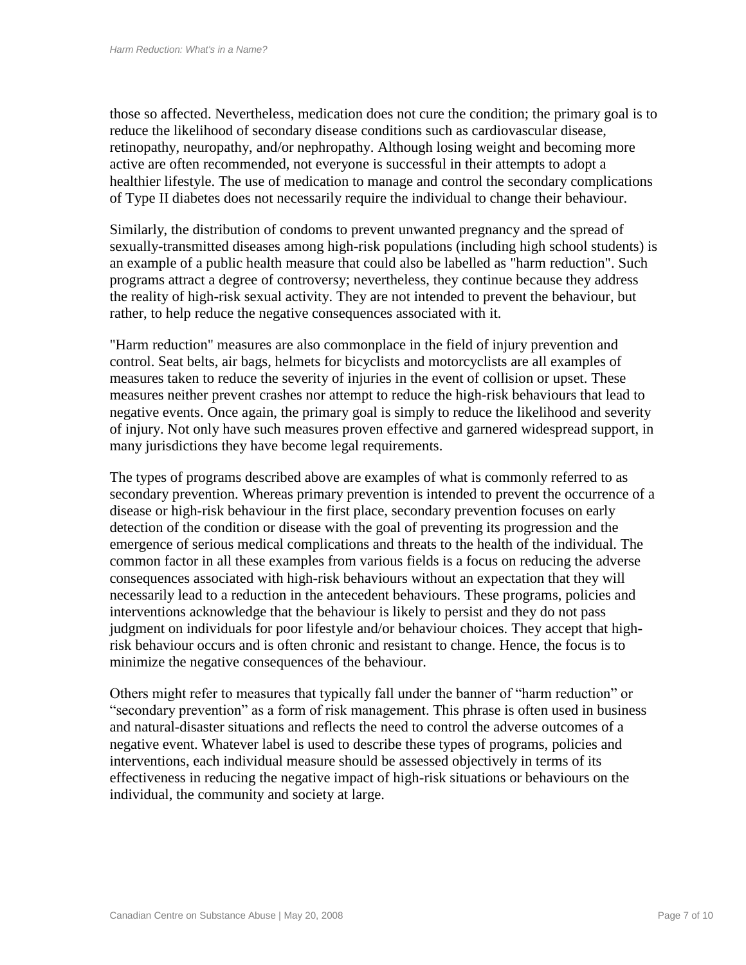those so affected. Nevertheless, medication does not cure the condition; the primary goal is to reduce the likelihood of secondary disease conditions such as cardiovascular disease, retinopathy, neuropathy, and/or nephropathy. Although losing weight and becoming more active are often recommended, not everyone is successful in their attempts to adopt a healthier lifestyle. The use of medication to manage and control the secondary complications of Type II diabetes does not necessarily require the individual to change their behaviour.

Similarly, the distribution of condoms to prevent unwanted pregnancy and the spread of sexually-transmitted diseases among high-risk populations (including high school students) is an example of a public health measure that could also be labelled as "harm reduction". Such programs attract a degree of controversy; nevertheless, they continue because they address the reality of high-risk sexual activity. They are not intended to prevent the behaviour, but rather, to help reduce the negative consequences associated with it.

"Harm reduction" measures are also commonplace in the field of injury prevention and control. Seat belts, air bags, helmets for bicyclists and motorcyclists are all examples of measures taken to reduce the severity of injuries in the event of collision or upset. These measures neither prevent crashes nor attempt to reduce the high-risk behaviours that lead to negative events. Once again, the primary goal is simply to reduce the likelihood and severity of injury. Not only have such measures proven effective and garnered widespread support, in many jurisdictions they have become legal requirements.

The types of programs described above are examples of what is commonly referred to as secondary prevention. Whereas primary prevention is intended to prevent the occurrence of a disease or high-risk behaviour in the first place, secondary prevention focuses on early detection of the condition or disease with the goal of preventing its progression and the emergence of serious medical complications and threats to the health of the individual. The common factor in all these examples from various fields is a focus on reducing the adverse consequences associated with high-risk behaviours without an expectation that they will necessarily lead to a reduction in the antecedent behaviours. These programs, policies and interventions acknowledge that the behaviour is likely to persist and they do not pass judgment on individuals for poor lifestyle and/or behaviour choices. They accept that highrisk behaviour occurs and is often chronic and resistant to change. Hence, the focus is to minimize the negative consequences of the behaviour.

Others might refer to measures that typically fall under the banner of "harm reduction" or ―secondary prevention‖ as a form of risk management. This phrase is often used in business and natural-disaster situations and reflects the need to control the adverse outcomes of a negative event. Whatever label is used to describe these types of programs, policies and interventions, each individual measure should be assessed objectively in terms of its effectiveness in reducing the negative impact of high-risk situations or behaviours on the individual, the community and society at large.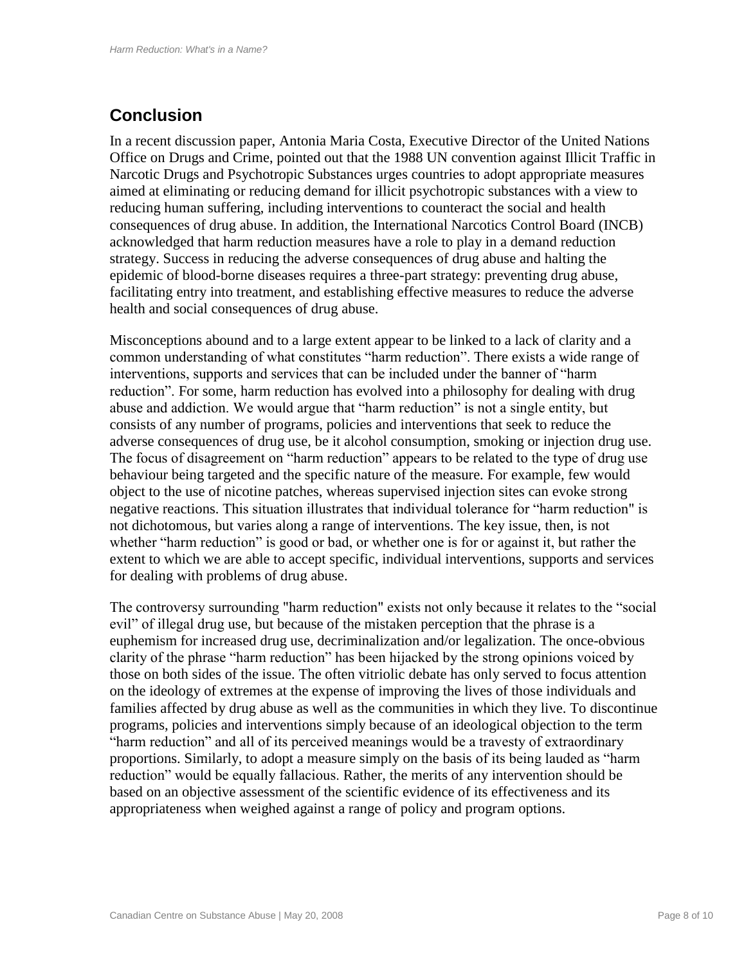## **Conclusion**

In a recent discussion paper, Antonia Maria Costa, Executive Director of the United Nations Office on Drugs and Crime, pointed out that the 1988 UN convention against Illicit Traffic in Narcotic Drugs and Psychotropic Substances urges countries to adopt appropriate measures aimed at eliminating or reducing demand for illicit psychotropic substances with a view to reducing human suffering, including interventions to counteract the social and health consequences of drug abuse. In addition, the International Narcotics Control Board (INCB) acknowledged that harm reduction measures have a role to play in a demand reduction strategy. Success in reducing the adverse consequences of drug abuse and halting the epidemic of blood-borne diseases requires a three-part strategy: preventing drug abuse, facilitating entry into treatment, and establishing effective measures to reduce the adverse health and social consequences of drug abuse.

Misconceptions abound and to a large extent appear to be linked to a lack of clarity and a common understanding of what constitutes "harm reduction". There exists a wide range of interventions, supports and services that can be included under the banner of "harm" reduction". For some, harm reduction has evolved into a philosophy for dealing with drug abuse and addiction. We would argue that "harm reduction" is not a single entity, but consists of any number of programs, policies and interventions that seek to reduce the adverse consequences of drug use, be it alcohol consumption, smoking or injection drug use. The focus of disagreement on "harm reduction" appears to be related to the type of drug use behaviour being targeted and the specific nature of the measure. For example, few would object to the use of nicotine patches, whereas supervised injection sites can evoke strong negative reactions. This situation illustrates that individual tolerance for "harm reduction" is not dichotomous, but varies along a range of interventions. The key issue, then, is not whether "harm reduction" is good or bad, or whether one is for or against it, but rather the extent to which we are able to accept specific, individual interventions, supports and services for dealing with problems of drug abuse.

The controversy surrounding "harm reduction" exists not only because it relates to the "social" evil" of illegal drug use, but because of the mistaken perception that the phrase is a euphemism for increased drug use, decriminalization and/or legalization. The once-obvious clarity of the phrase "harm reduction" has been hijacked by the strong opinions voiced by those on both sides of the issue. The often vitriolic debate has only served to focus attention on the ideology of extremes at the expense of improving the lives of those individuals and families affected by drug abuse as well as the communities in which they live. To discontinue programs, policies and interventions simply because of an ideological objection to the term ―harm reduction‖ and all of its perceived meanings would be a travesty of extraordinary proportions. Similarly, to adopt a measure simply on the basis of its being lauded as "harm" reduction" would be equally fallacious. Rather, the merits of any intervention should be based on an objective assessment of the scientific evidence of its effectiveness and its appropriateness when weighed against a range of policy and program options.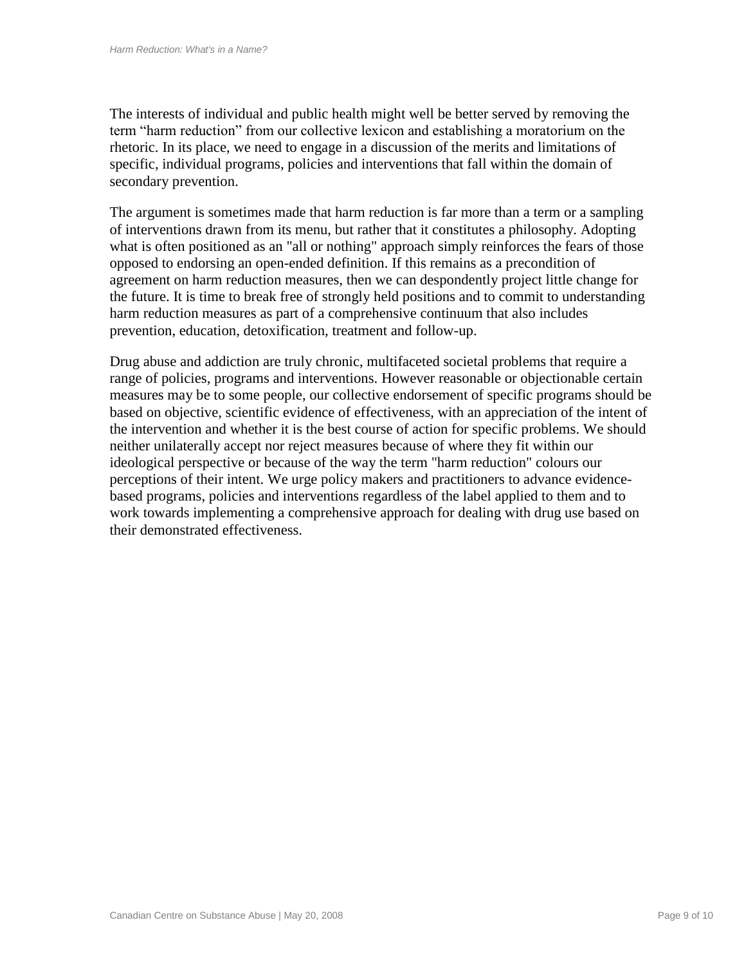The interests of individual and public health might well be better served by removing the term "harm reduction" from our collective lexicon and establishing a moratorium on the rhetoric. In its place, we need to engage in a discussion of the merits and limitations of specific, individual programs, policies and interventions that fall within the domain of secondary prevention.

The argument is sometimes made that harm reduction is far more than a term or a sampling of interventions drawn from its menu, but rather that it constitutes a philosophy. Adopting what is often positioned as an "all or nothing" approach simply reinforces the fears of those opposed to endorsing an open-ended definition. If this remains as a precondition of agreement on harm reduction measures, then we can despondently project little change for the future. It is time to break free of strongly held positions and to commit to understanding harm reduction measures as part of a comprehensive continuum that also includes prevention, education, detoxification, treatment and follow-up.

Drug abuse and addiction are truly chronic, multifaceted societal problems that require a range of policies, programs and interventions. However reasonable or objectionable certain measures may be to some people, our collective endorsement of specific programs should be based on objective, scientific evidence of effectiveness, with an appreciation of the intent of the intervention and whether it is the best course of action for specific problems. We should neither unilaterally accept nor reject measures because of where they fit within our ideological perspective or because of the way the term "harm reduction" colours our perceptions of their intent. We urge policy makers and practitioners to advance evidencebased programs, policies and interventions regardless of the label applied to them and to work towards implementing a comprehensive approach for dealing with drug use based on their demonstrated effectiveness.